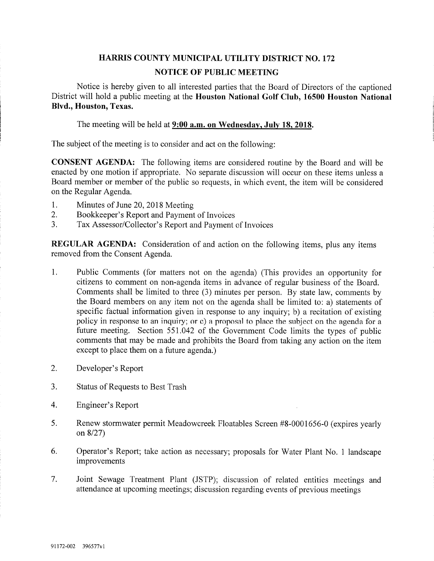## HARRIS COUNTY MUNICIPAL UTILITY DISTRICT NO. 172 NOTICE OF PUBLIC MEETING

Notice is hereby given to all interested parties that the Board of Directors of the captioned District will hold a public meeting at the Houston National Golf Club, 16500 Houston National Blvd., Houston, Texas.

The meeting will be held at  $9:00$  a.m. on Wednesday, July 18, 2018.

The subject of the meeting is to consider and act on the following:

CONSENT AGENDA: The following items are considered routine by the Board and will be enacted by one motion if appropriate. No separate discussion will occur on these items unless a Board member or member of the public so requests, in which event, the item will be considered on the Regular Agenda.

- 1. Minutes of June 20, 2018 Meeting
- 2. Bookkeeper's Report and Payment of Invoices<br>3. Tax Assessor/Collector's Report and Payment
- Tax Assessor/Collector's Report and Payment of Invoices

REGULAR AGENDA: Consideration of and action on the following items, plus any items removed from the Consent Agenda.

- 1. Public Comments (for matters not on the agenda) (This provides an opportunity for citizens to comment on non-agenda items in advance of regular business of the Board. Comments shall be limited to three (3) minutes per person. By state law, comments by the Board members on any item not on the agenda shall be limited to: a) statements of specific factual information given in response to any inquiry; b) a recitation of existing policy in response to an inquiry; or c) a proposal to place the subject on the agenda for a future meeting. Section 551.042 of the Government Code limits the types of public comments that may be made and prohibits the Board from taking any action on the item except to place them on a future agenda.)
- 2. Developer's Report
- 3. Status of Requests to Best Trash
- 4. Engineer's Report
- 5. Renew stormwater permit Meadowcreek Floatables Screen #8-0001656-0 (expires yearly on 8/27)
- 6. Operator's Report; take action as necessary; proposals for Water Plant No. 1 landscape improvements
- 7. Joint Sewage Treatment Plant (JSTP); discussion of related entities meetings and attendance at upcoming meetings; discussion regarding events of previous meetings